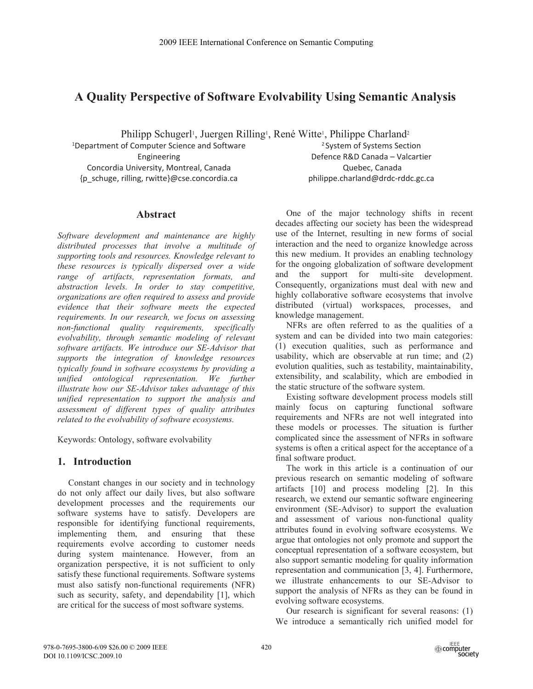# **A Quality Perspective of Software Evolvability Using Semantic Analysis**

Philipp Schugerl<sup>1</sup>, Juergen Rilling<sup>1</sup>, René Witte<sup>1</sup>, Philippe Charland<sup>2</sup>

1Department of Computer Science and Software Engineering Concordia University, Montreal, Canada {p\_schuge, rilling, rwitte}@cse.concordia.ca

### **Abstract**

*Software development and maintenance are highly distributed processes that involve a multitude of supporting tools and resources. Knowledge relevant to these resources is typically dispersed over a wide range of artifacts, representation formats, and abstraction levels. In order to stay competitive, organizations are often required to assess and provide evidence that their software meets the expected requirements. In our research, we focus on assessing non-functional quality requirements, specifically evolvability, through semantic modeling of relevant software artifacts. We introduce our SE-Advisor that supports the integration of knowledge resources typically found in software ecosystems by providing a unified ontological representation. We further illustrate how our SE-Advisor takes advantage of this unified representation to support the analysis and assessment of different types of quality attributes related to the evolvability of software ecosystems.* 

Keywords: Ontology, software evolvability

# **1. Introduction**

Constant changes in our society and in technology do not only affect our daily lives, but also software development processes and the requirements our software systems have to satisfy. Developers are responsible for identifying functional requirements, implementing them, and ensuring that these requirements evolve according to customer needs during system maintenance. However, from an organization perspective, it is not sufficient to only satisfy these functional requirements. Software systems must also satisfy non-functional requirements (NFR) such as security, safety, and dependability [1], which are critical for the success of most software systems.

2 System of Systems Section Defence R&D Canada – Valcartier Quebec, Canada philippe.charland@drdc-rddc.gc.ca

One of the major technology shifts in recent decades affecting our society has been the widespread use of the Internet, resulting in new forms of social interaction and the need to organize knowledge across this new medium. It provides an enabling technology for the ongoing globalization of software development and the support for multi-site development. Consequently, organizations must deal with new and highly collaborative software ecosystems that involve distributed (virtual) workspaces, processes, and knowledge management.

NFRs are often referred to as the qualities of a system and can be divided into two main categories: (1) execution qualities, such as performance and usability, which are observable at run time; and (2) evolution qualities, such as testability, maintainability, extensibility, and scalability, which are embodied in the static structure of the software system.

Existing software development process models still mainly focus on capturing functional software requirements and NFRs are not well integrated into these models or processes. The situation is further complicated since the assessment of NFRs in software systems is often a critical aspect for the acceptance of a final software product.

The work in this article is a continuation of our previous research on semantic modeling of software artifacts [10] and process modeling [2]. In this research, we extend our semantic software engineering environment (SE-Advisor) to support the evaluation and assessment of various non-functional quality attributes found in evolving software ecosystems. We argue that ontologies not only promote and support the conceptual representation of a software ecosystem, but also support semantic modeling for quality information representation and communication [3, 4]. Furthermore, we illustrate enhancements to our SE-Advisor to support the analysis of NFRs as they can be found in evolving software ecosystems.

Our research is significant for several reasons: (1) We introduce a semantically rich unified model for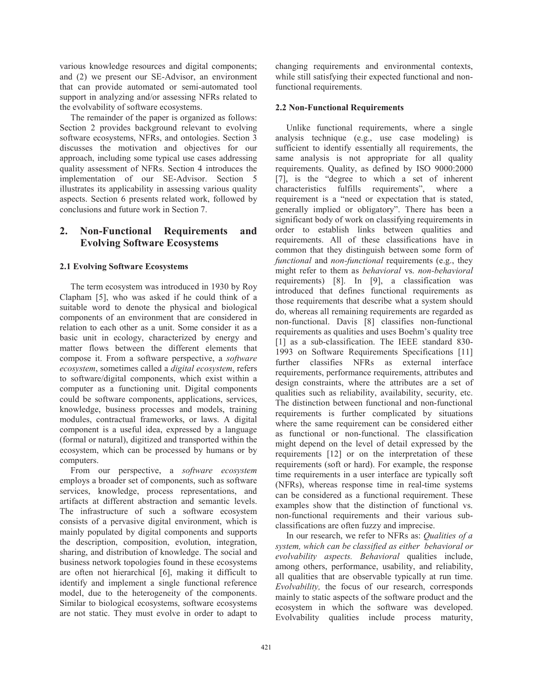various knowledge resources and digital components; and (2) we present our SE-Advisor, an environment that can provide automated or semi-automated tool support in analyzing and/or assessing NFRs related to the evolvability of software ecosystems.

The remainder of the paper is organized as follows: Section 2 provides background relevant to evolving software ecosystems, NFRs, and ontologies. Section 3 discusses the motivation and objectives for our approach, including some typical use cases addressing quality assessment of NFRs. Section 4 introduces the implementation of our SE-Advisor. Section 5 illustrates its applicability in assessing various quality aspects. Section 6 presents related work, followed by conclusions and future work in Section 7.

# **2. Non-Functional Requirements and Evolving Software Ecosystems**

### **2.1 Evolving Software Ecosystems**

The term ecosystem was introduced in 1930 by Roy Clapham [5], who was asked if he could think of a suitable word to denote the physical and biological components of an environment that are considered in relation to each other as a unit. Some consider it as a basic unit in ecology, characterized by energy and matter flows between the different elements that compose it. From a software perspective, a *software ecosystem*, sometimes called a *digital ecosystem*, refers to software/digital components, which exist within a computer as a functioning unit. Digital components could be software components, applications, services, knowledge, business processes and models, training modules, contractual frameworks, or laws. A digital component is a useful idea, expressed by a language (formal or natural), digitized and transported within the ecosystem, which can be processed by humans or by computers.

From our perspective, a *software ecosystem* employs a broader set of components, such as software services, knowledge, process representations, and artifacts at different abstraction and semantic levels. The infrastructure of such a software ecosystem consists of a pervasive digital environment, which is mainly populated by digital components and supports the description, composition, evolution, integration, sharing, and distribution of knowledge. The social and business network topologies found in these ecosystems are often not hierarchical [6], making it difficult to identify and implement a single functional reference model, due to the heterogeneity of the components. Similar to biological ecosystems, software ecosystems are not static. They must evolve in order to adapt to changing requirements and environmental contexts, while still satisfying their expected functional and nonfunctional requirements.

### **2.2 Non-Functional Requirements**

Unlike functional requirements, where a single analysis technique (e.g., use case modeling) is sufficient to identify essentially all requirements, the same analysis is not appropriate for all quality requirements. Quality, as defined by ISO 9000:2000 [7], is the "degree to which a set of inherent characteristics fulfills requirements", where a requirement is a "need or expectation that is stated, generally implied or obligatory". There has been a significant body of work on classifying requirements in order to establish links between qualities and requirements. All of these classifications have in common that they distinguish between some form of *functional* and *non-functional* requirements (e.g., they might refer to them as *behavioral* vs. *non-behavioral* requirements) [8]. In [9], a classification was introduced that defines functional requirements as those requirements that describe what a system should do, whereas all remaining requirements are regarded as non-functional. Davis [8] classifies non-functional requirements as qualities and uses Boehm's quality tree [1] as a sub-classification. The IEEE standard 830- 1993 on Software Requirements Specifications [11] further classifies NFRs as external interface requirements, performance requirements, attributes and design constraints, where the attributes are a set of qualities such as reliability, availability, security, etc. The distinction between functional and non-functional requirements is further complicated by situations where the same requirement can be considered either as functional or non-functional. The classification might depend on the level of detail expressed by the requirements [12] or on the interpretation of these requirements (soft or hard). For example, the response time requirements in a user interface are typically soft (NFRs), whereas response time in real-time systems can be considered as a functional requirement. These examples show that the distinction of functional vs. non-functional requirements and their various subclassifications are often fuzzy and imprecise.

In our research, we refer to NFRs as: *Qualities of a system, which can be classified as either behavioral or evolvability aspects. Behavioral* qualities include, among others, performance, usability, and reliability, all qualities that are observable typically at run time. *Evolvability,* the focus of our research, corresponds mainly to static aspects of the software product and the ecosystem in which the software was developed. Evolvability qualities include process maturity,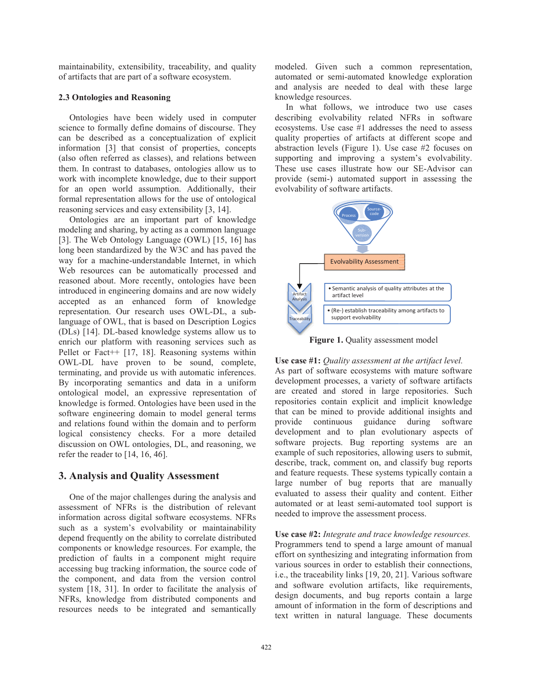maintainability, extensibility, traceabil lity, and quality of artifacts that are part of a software ec cosystem.

#### **2.3 Ontologies and Reasoning**

Ontologies have been widely used in computer science to formally define domains of discourse. They can be described as a conceptualization of explicit information [3] that consist of prop perties, concepts (also often referred as classes), and relations between them. In contrast to databases, ontologies allow us to work with incomplete knowledge, due to their support for an open world assumption. Additionally, their formal representation allows for the use of ontological reasoning services and easy extensibility [3, 14].

Ontologies are an important part of knowledge modeling and sharing, by acting as a common language [3]. The Web Ontology Language (OWL) [15, 16] has long been standardized by the W3C and has paved the way for a machine-understandable Internet, in which Web resources can be automatically processed and reasoned about. More recently, ontologies have been introduced in engineering domains and are now widely accepted as an enhanced form of knowledge representation. Our research uses OWL-DL, a sublanguage of OWL, that is based on Description Logics (DLs) [14]. DL-based knowledge syst ems allow us to enrich our platform with reasoning services such as Pellet or Fact++ [17, 18]. Reasoning systems within OWL-DL have proven to be so und, complete, terminating, and provide us with automatic inferences. By incorporating semantics and data a in a uniform ontological model, an expressive representation of knowledge is formed. Ontologies have been used in the software engineering domain to model general terms and relations found within the domain n and to perform logical consistency checks. For a more detailed discussion on OWL ontologies, DL, and reasoning, we refer the reader to [14, 16, 46].

### **3. Analysis and Quality Assessment**

One of the major challenges during the analysis and assessment of NFRs is the distribution of relevant information across digital software ecosystems. NFRs such as a system's evolvability or maintainability depend frequently on the ability to correlate distributed components or knowledge resources. F For example, the prediction of faults in a component might require accessing bug tracking information, the source code of the component, and data from the version control system [18, 31]. In order to facilitate the analysis of NFRs, knowledge from distributed c components and resources needs to be integrated and semantically

modeled. Given such a comm mon representation, automated or semi-automated knowledge exploration and analysis are needed to deal with these large knowledge resources.

In what follows, we introduce two use cases describing evolvability related NFRs in software ecosystems. Use case #1 addresse s the need to assess quality properties of artifacts at different scope and abstraction levels (Figure 1). Use case #2 focuses on supporting and improving a system's evolvability. These use cases illustrate how our SE-Advisor can provide (semi-) automated support in assessing the evolvability of software artifacts.



Figure 1. Quality assessment model

### Use case #1: Quality assessment at the artifact level.

As part of software ecosystems with mature software development processes, a variety of software artifacts are created and stored in large repositories. Such repositories contain explicit and implicit knowledge that can be mined to provide add ditional insights and provide continuous guidance during software development and to plan evolutionary aspects of software projects. Bug reporting systems are an example of such repositories, allowing users to submit, describe, track, comment on, and classify bug reports and feature requests. These systems typically contain a large number of bug reports that are manually evaluated to assess their quality and content. Either automated or at least semi-automated tool support is needed to improve the assessment process.

# **Use case #2:** *Integrate and trace kn nowledge resources.*

Programmers tend to spend a larg e amount of manual effort on synthesizing and integrating information from various sources in order to establish their connections, i.e., the traceability links [19, 20, 2 21]. Various software and software evolution artifacts, like requirements, design documents, and bug reports contain a large amount of information in the form of descriptions and text written in natural language . These documents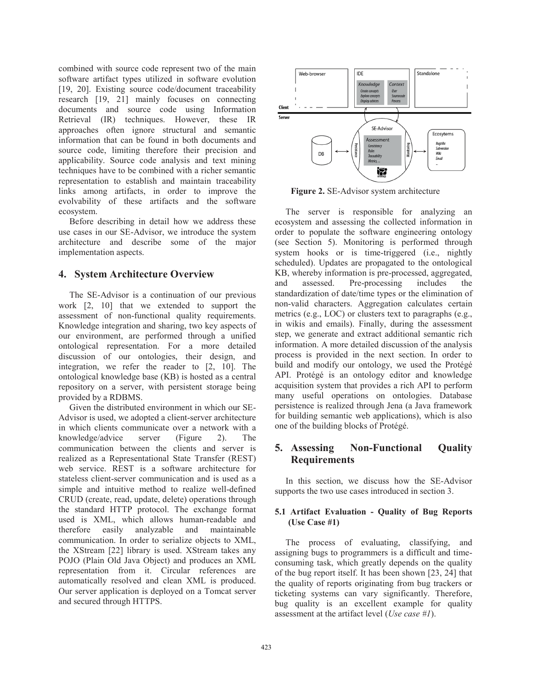combined with source code represent two of the main software artifact types utilized in software evolution [19, 20]. Existing source code/document traceability research [19, 21] mainly focuses on connecting documents and source code using Information Retrieval (IR) techniques. However, these IR approaches often ignore structural and semantic information that can be found in both documents and source code, limiting therefore their precision and applicability. Source code analysis and text mining techniques have to be combined with a richer semantic representation to establish and maintain traceability links among artifacts, in order to improve the evolvability of these artifacts and the software ecosystem.

Before describing in detail how we address these use cases in our SE-Advisor, we introduce the system architecture and describe some of the major implementation aspects.

### **4. System Architecture Overview**

The SE-Advisor is a continuation of our previous work [2, 10] that we extended to support the assessment of non-functional quality requirements. Knowledge integration and sharing, two key aspects of our environment, are performed through a unified ontological representation. For a more detailed discussion of our ontologies, their design, and integration, we refer the reader to [2, 10]. The ontological knowledge base (KB) is hosted as a central repository on a server, with persistent storage being provided by a RDBMS.

Given the distributed environment in which our SE-Advisor is used, we adopted a client-server architecture in which clients communicate over a network with a knowledge/advice server (Figure 2). The communication between the clients and server is realized as a Representational State Transfer (REST) web service. REST is a software architecture for stateless client-server communication and is used as a simple and intuitive method to realize well-defined CRUD (create, read, update, delete) operations through the standard HTTP protocol. The exchange format used is XML, which allows human-readable and therefore easily analyzable and maintainable communication. In order to serialize objects to XML, the XStream [22] library is used. XStream takes any POJO (Plain Old Java Object) and produces an XML representation from it. Circular references are automatically resolved and clean XML is produced. Our server application is deployed on a Tomcat server and secured through HTTPS.



**Figure 2.** SE-Advisor system architecture

The server is responsible for analyzing an ecosystem and assessing the collected information in order to populate the software engineering ontology (see Section 5). Monitoring is performed through system hooks or is time-triggered (i.e., nightly scheduled). Updates are propagated to the ontological KB, whereby information is pre-processed, aggregated, and assessed. Pre-processing includes the standardization of date/time types or the elimination of non-valid characters. Aggregation calculates certain metrics (e.g., LOC) or clusters text to paragraphs (e.g., in wikis and emails). Finally, during the assessment step, we generate and extract additional semantic rich information. A more detailed discussion of the analysis process is provided in the next section. In order to build and modify our ontology, we used the Protégé API. Protégé is an ontology editor and knowledge acquisition system that provides a rich API to perform many useful operations on ontologies. Database persistence is realized through Jena (a Java framework for building semantic web applications), which is also one of the building blocks of Protégé.

# **5. Assessing Non-Functional Quality Requirements**

In this section, we discuss how the SE-Advisor supports the two use cases introduced in section 3.

#### **5.1 Artifact Evaluation - Quality of Bug Reports (Use Case #1)**

The process of evaluating, classifying, and assigning bugs to programmers is a difficult and timeconsuming task, which greatly depends on the quality of the bug report itself. It has been shown [23, 24] that the quality of reports originating from bug trackers or ticketing systems can vary significantly. Therefore, bug quality is an excellent example for quality assessment at the artifact level (*Use case #1*).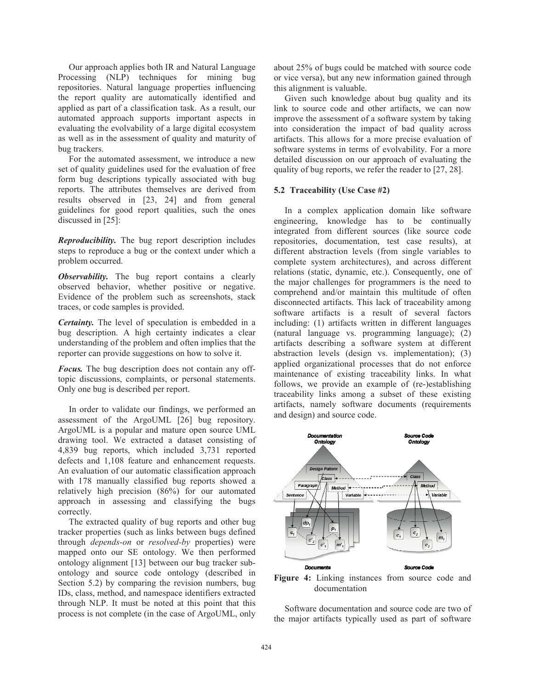Our approach applies both IR and N Natural Language Processing (NLP) techniques for mining bug repositories. Natural language properties influencing the report quality are automatically identified and applied as part of a classification task. As a result, our automated approach supports important aspects in evaluating the evolvability of a large digital ecosystem as well as in the assessment of quality and maturity of bug trackers.

For the automated assessment, we introduce a new set of quality guidelines used for the evaluation of free form bug descriptions typically associated with bug reports. The attributes themselves are derived from results observed in [23, 24] and from general guidelines for good report qualities, such the ones discussed in [25]:

Reproducibility. The bug report description includes steps to reproduce a bug or the context under which a problem occurred.

**Observability.** The bug report contains a clearly observed behavior, whether positive or negative. Evidence of the problem such as screenshots, stack traces, or code samples is provided.

**Certainty.** The level of speculation is embedded in a bug description. A high certainty indicates a clear understanding of the problem and often implies that the reporter can provide suggestions on how to solve it.

Focus. The bug description does not contain any offtopic discussions, complaints, or personal statements. Only one bug is described per report.

In order to validate our findings, we performed an assessment of the ArgoUML [26] bug repository. ArgoUML is a popular and mature open source UML drawing tool. We extracted a dataset consisting of 4,839 bug reports, which included 3,731 reported defects and 1,108 feature and enhancement requests. An evaluation of our automatic classification approach with 178 manually classified bug re ports showed a relatively high precision (86%) for our automated approach in assessing and classifying the bugs correctly.

The extracted quality of bug reports and other bug tracker properties (such as links between bugs defined through *depends-on* or *resolved-by* p properties) were mapped onto our SE ontology. We then performed ontology alignment [13] between our bug tracker subontology and source code ontology (described in Section 5.2) by comparing the revision numbers, bug IDs, class, method, and namespace identifiers extracted through NLP. It must be noted at thi s point that this process is not complete (in the case of ArgoUML, only

about 25% of bugs could be match hed with source code or vice versa), but any new information gained through this alignment is valuable.

Given such knowledge about bug quality and its link to source code and other artifacts, we can now improve the assessment of a software system by taking into consideration the impact of bad quality across artifacts. This allows for a more p precise evaluation of software systems in terms of evolvability. For a more detailed discussion on our approach of evaluating the quality of bug reports, we refer the reader to [27, 28].

#### **5.2 Traceability (Use Case #2)**

In a complex application do main like software engineering, knowledge has to be continually integrated from different sources s (like source code repositories, documentation, test case results), at different abstraction levels (from single variables to complete system architectures), and across different relations (static, dynamic, etc.). C Consequently, one of the major challenges for programmers is the need to comprehend and/or maintain this multitude of often disconnected artifacts. This lack o f traceability among software artifacts is a result of several factors including: (1) artifacts written in different languages (natural language vs. programming language); (2) artifacts describing a software system at different abstraction levels (design vs. implementation); (3) applied organizational processes that do not enforce maintenance of existing traceability links. In what follows, we provide an example of (re-)establishing traceability links among a subset of these existing artifacts, namely software documents (requirements and design) and source code.



Figure 4: Linking instances from source code and documentation

Software documentation and source code are two of the major artifacts typically used as part of software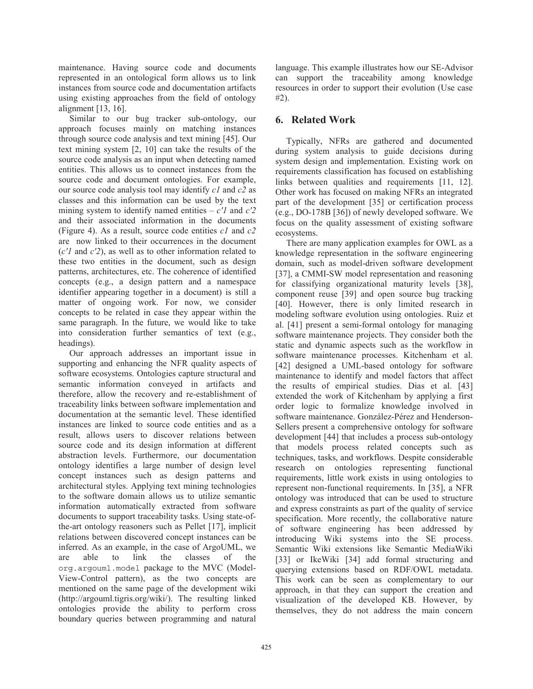maintenance. Having source code and documents represented in an ontological form allows us to link instances from source code and documentation artifacts using existing approaches from the field of ontology alignment [13, 16].

Similar to our bug tracker sub-ontology, our approach focuses mainly on matching instances through source code analysis and text mining [45]. Our text mining system [2, 10] can take the results of the source code analysis as an input when detecting named entities. This allows us to connect instances from the source code and document ontologies. For example, our source code analysis tool may identify *c1* and *c2* as classes and this information can be used by the text mining system to identify named entities  $- c'$  and  $c'$ and their associated information in the documents (Figure 4). As a result, source code entities *c1* and *c2* are now linked to their occurrences in the document (*c'1* and *c'2*), as well as to other information related to these two entities in the document, such as design patterns, architectures, etc. The coherence of identified concepts (e.g., a design pattern and a namespace identifier appearing together in a document) is still a matter of ongoing work. For now, we consider concepts to be related in case they appear within the same paragraph. In the future, we would like to take into consideration further semantics of text (e.g., headings).

Our approach addresses an important issue in supporting and enhancing the NFR quality aspects of software ecosystems. Ontologies capture structural and semantic information conveyed in artifacts and therefore, allow the recovery and re-establishment of traceability links between software implementation and documentation at the semantic level. These identified instances are linked to source code entities and as a result, allows users to discover relations between source code and its design information at different abstraction levels. Furthermore, our documentation ontology identifies a large number of design level concept instances such as design patterns and architectural styles. Applying text mining technologies to the software domain allows us to utilize semantic information automatically extracted from software documents to support traceability tasks. Using state-ofthe-art ontology reasoners such as Pellet [17], implicit relations between discovered concept instances can be inferred. As an example, in the case of ArgoUML, we are able to link the classes of the org.argouml.model package to the MVC (Model-View-Control pattern), as the two concepts are mentioned on the same page of the development wiki (http://argouml.tigris.org/wiki/). The resulting linked ontologies provide the ability to perform cross boundary queries between programming and natural

language. This example illustrates how our SE-Advisor can support the traceability among knowledge resources in order to support their evolution (Use case #2).

### **6. Related Work**

Typically, NFRs are gathered and documented during system analysis to guide decisions during system design and implementation. Existing work on requirements classification has focused on establishing links between qualities and requirements [11, 12]. Other work has focused on making NFRs an integrated part of the development [35] or certification process (e.g., DO-178B [36]) of newly developed software. We focus on the quality assessment of existing software ecosystems.

There are many application examples for OWL as a knowledge representation in the software engineering domain, such as model-driven software development [37], a CMMI-SW model representation and reasoning for classifying organizational maturity levels [38], component reuse [39] and open source bug tracking [40]. However, there is only limited research in modeling software evolution using ontologies. Ruiz et al. [41] present a semi-formal ontology for managing software maintenance projects. They consider both the static and dynamic aspects such as the workflow in software maintenance processes. Kitchenham et al. [42] designed a UML-based ontology for software maintenance to identify and model factors that affect the results of empirical studies. Dias et al. [43] extended the work of Kitchenham by applying a first order logic to formalize knowledge involved in software maintenance. González-Pérez and Henderson-Sellers present a comprehensive ontology for software development [44] that includes a process sub-ontology that models process related concepts such as techniques, tasks, and workflows. Despite considerable research on ontologies representing functional requirements, little work exists in using ontologies to represent non-functional requirements. In [35], a NFR ontology was introduced that can be used to structure and express constraints as part of the quality of service specification. More recently, the collaborative nature of software engineering has been addressed by introducing Wiki systems into the SE process. Semantic Wiki extensions like Semantic MediaWiki [33] or IkeWiki [34] add formal structuring and querying extensions based on RDF/OWL metadata. This work can be seen as complementary to our approach, in that they can support the creation and visualization of the developed KB. However, by themselves, they do not address the main concern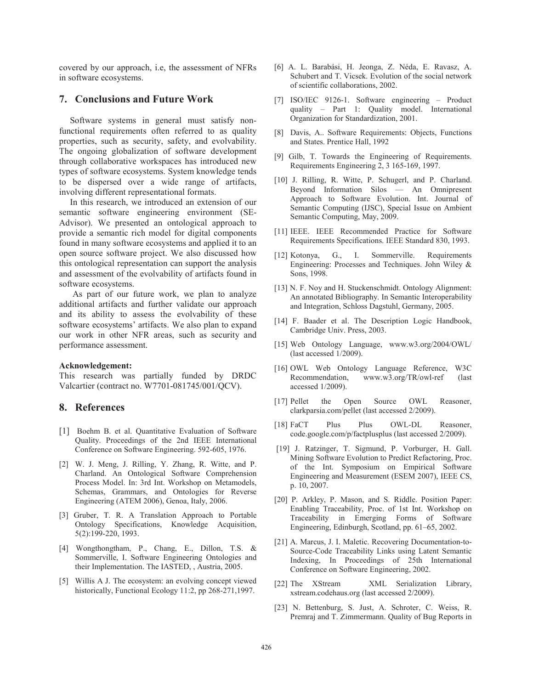covered by our approach, i.e, the assessment of NFRs in software ecosystems.

### **7. Conclusions and Future Work**

Software systems in general must satisfy nonfunctional requirements often referred to as quality properties, such as security, safety, and evolvability. The ongoing globalization of software development through collaborative workspaces has introduced new types of software ecosystems. System knowledge tends to be dispersed over a wide range of artifacts, involving different representational formats.

In this research, we introduced an extension of our semantic software engineering environment (SE-Advisor). We presented an ontological approach to provide a semantic rich model for digital components found in many software ecosystems and applied it to an open source software project. We also discussed how this ontological representation can support the analysis and assessment of the evolvability of artifacts found in software ecosystems.

 As part of our future work, we plan to analyze additional artifacts and further validate our approach and its ability to assess the evolvability of these software ecosystems' artifacts. We also plan to expand our work in other NFR areas, such as security and performance assessment.

#### **Acknowledgement:**

This research was partially funded by DRDC Valcartier (contract no. W7701-081745/001/QCV).

#### **8. References**

- [1] Boehm B. et al. Quantitative Evaluation of Software Quality. Proceedings of the 2nd IEEE International Conference on Software Engineering. 592-605, 1976.
- [2] W. J. Meng, J. Rilling, Y. Zhang, R. Witte, and P. Charland. An Ontological Software Comprehension Process Model. In: 3rd Int. Workshop on Metamodels, Schemas, Grammars, and Ontologies for Reverse Engineering (ATEM 2006), Genoa, Italy, 2006.
- [3] Gruber, T. R. A Translation Approach to Portable Ontology Specifications, Knowledge Acquisition, 5(2):199-220, 1993.
- [4] Wongthongtham, P., Chang, E., Dillon, T.S. & Sommerville, I. Software Engineering Ontologies and their Implementation. The IASTED, , Austria, 2005.
- [5] Willis A J. The ecosystem: an evolving concept viewed historically, Functional Ecology 11:2, pp 268-271,1997.
- [6] A. L. Barabási, H. Jeonga, Z. Néda, E. Ravasz, A. Schubert and T. Vicsek. Evolution of the social network of scientific collaborations, 2002.
- [7] ISO/IEC 9126-1. Software engineering Product quality – Part 1: Quality model. International Organization for Standardization, 2001.
- [8] Davis, A.. Software Requirements: Objects, Functions and States. Prentice Hall, 1992
- [9] Gilb, T. Towards the Engineering of Requirements. Requirements Engineering 2, 3 165-169, 1997.
- [10] J. Rilling, R. Witte, P. Schugerl, and P. Charland. Beyond Information Silos — An Omnipresent Approach to Software Evolution. Int. Journal of Semantic Computing (IJSC), Special Issue on Ambient Semantic Computing, May, 2009.
- [11] IEEE. IEEE Recommended Practice for Software Requirements Specifications. IEEE Standard 830, 1993.
- [12] Kotonya, G., I. Sommerville. Requirements Engineering: Processes and Techniques. John Wiley & Sons, 1998.
- [13] N. F. Noy and H. Stuckenschmidt. Ontology Alignment: An annotated Bibliography. In Semantic Interoperability and Integration, Schloss Dagstuhl, Germany, 2005.
- [14] F. Baader et al. The Description Logic Handbook, Cambridge Univ. Press, 2003.
- [15] Web Ontology Language, www.w3.org/2004/OWL/ (last accessed 1/2009).
- [16] OWL Web Ontology Language Reference, W3C Recommendation, www.w3.org/TR/owl-ref (last accessed 1/2009).
- [17] Pellet the Open Source OWL Reasoner, clarkparsia.com/pellet (last accessed 2/2009).
- [18] FaCT Plus Plus OWL-DL Reasoner, code.google.com/p/factplusplus (last accessed 2/2009).
- [19] J. Ratzinger, T. Sigmund, P. Vorburger, H. Gall. Mining Software Evolution to Predict Refactoring, Proc. of the Int. Symposium on Empirical Software Engineering and Measurement (ESEM 2007), IEEE CS, p. 10, 2007.
- [20] P. Arkley, P. Mason, and S. Riddle. Position Paper: Enabling Traceability, Proc. of 1st Int. Workshop on Traceability in Emerging Forms of Software Engineering, Edinburgh, Scotland, pp. 61–65, 2002.
- [21] A. Marcus, J. I. Maletic. Recovering Documentation-to-Source-Code Traceability Links using Latent Semantic Indexing, In Proceedings of 25th International Conference on Software Engineering, 2002.
- [22] The XStream XML Serialization Library, xstream.codehaus.org (last accessed 2/2009).
- [23] N. Bettenburg, S. Just, A. Schroter, C. Weiss, R. Premraj and T. Zimmermann. Quality of Bug Reports in